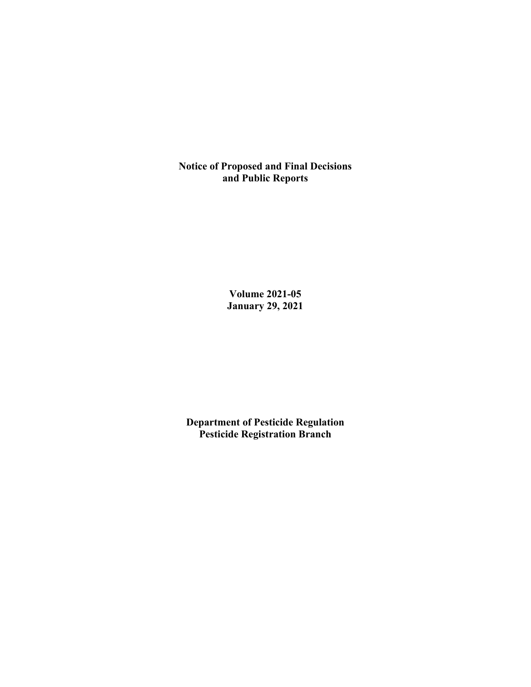**Notice of Proposed and Final Decisions and Public Reports**

> **Volume 2021-05 January 29, 2021**

**Department of Pesticide Regulation Pesticide Registration Branch**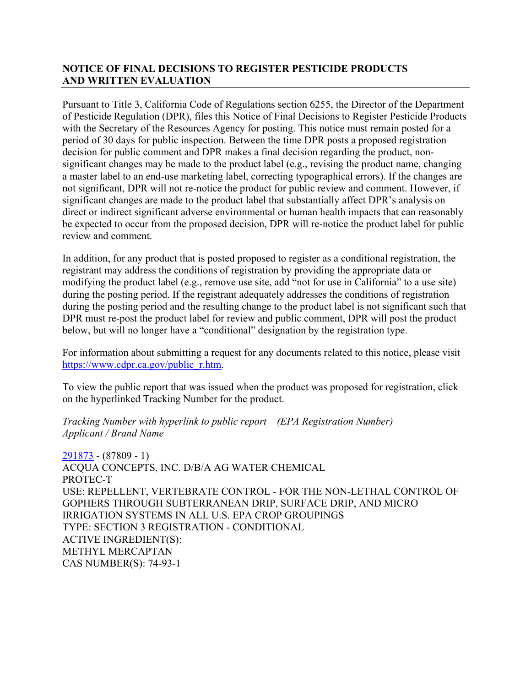## **NOTICE OF FINAL DECISIONS TO REGISTER PESTICIDE PRODUCTS AND WRITTEN EVALUATION**

Pursuant to Title 3, California Code of Regulations section 6255, the Director of the Department of Pesticide Regulation (DPR), files this Notice of Final Decisions to Register Pesticide Products with the Secretary of the Resources Agency for posting. This notice must remain posted for a period of 30 days for public inspection. Between the time DPR posts a proposed registration decision for public comment and DPR makes a final decision regarding the product, nonsignificant changes may be made to the product label (e.g., revising the product name, changing a master label to an end-use marketing label, correcting typographical errors). If the changes are not significant, DPR will not re-notice the product for public review and comment. However, if significant changes are made to the product label that substantially affect DPR's analysis on direct or indirect significant adverse environmental or human health impacts that can reasonably be expected to occur from the proposed decision, DPR will re-notice the product label for public review and comment.

In addition, for any product that is posted proposed to register as a conditional registration, the registrant may address the conditions of registration by providing the appropriate data or modifying the product label (e.g., remove use site, add "not for use in California" to a use site) during the posting period. If the registrant adequately addresses the conditions of registration during the posting period and the resulting change to the product label is not significant such that DPR must re-post the product label for review and public comment, DPR will post the product below, but will no longer have a "conditional" designation by the registration type.

For information about submitting a request for any documents related to this notice, please visit [https://www.cdpr.ca.gov/public\\_r.htm.](https://www.cdpr.ca.gov/public_r.htm)

To view the public report that was issued when the product was proposed for registration, click on the hyperlinked Tracking Number for the product.

#### *Tracking Number with hyperlink to public report – (EPA Registration Number) Applicant / Brand Name*

[291873](https://www.cdpr.ca.gov/docs/registration/nod/public_reports/291873.pdf) - (87809 - 1) ACQUA CONCEPTS, INC. D/B/A AG WATER CHEMICAL PROTEC-T USE: REPELLENT, VERTEBRATE CONTROL - FOR THE NON-LETHAL CONTROL OF GOPHERS THROUGH SUBTERRANEAN DRIP, SURFACE DRIP, AND MICRO IRRIGATION SYSTEMS IN ALL U.S. EPA CROP GROUPINGS TYPE: SECTION 3 REGISTRATION - CONDITIONAL ACTIVE INGREDIENT(S): METHYL MERCAPTAN CAS NUMBER(S): 74-93-1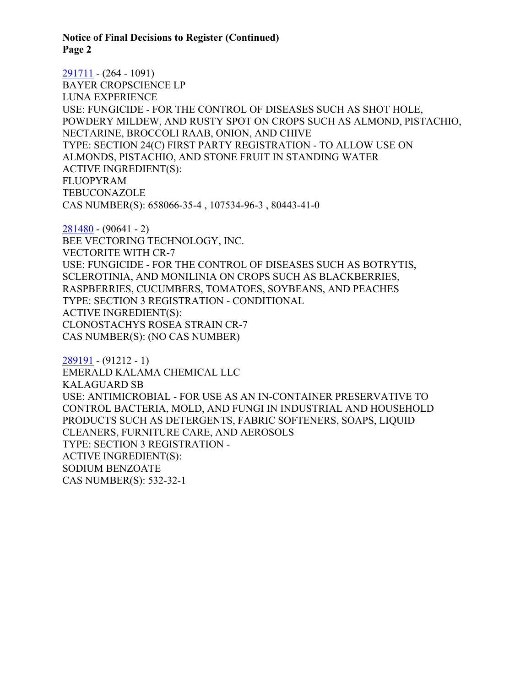**Notice of Final Decisions to Register (Continued) Page 2**

[291711](https://www.cdpr.ca.gov/docs/registration/nod/public_reports/291711.pdf) - (264 - 1091) BAYER CROPSCIENCE LP LUNA EXPERIENCE USE: FUNGICIDE - FOR THE CONTROL OF DISEASES SUCH AS SHOT HOLE, POWDERY MILDEW, AND RUSTY SPOT ON CROPS SUCH AS ALMOND, PISTACHIO, NECTARINE, BROCCOLI RAAB, ONION, AND CHIVE TYPE: SECTION 24(C) FIRST PARTY REGISTRATION - TO ALLOW USE ON ALMONDS, PISTACHIO, AND STONE FRUIT IN STANDING WATER ACTIVE INGREDIENT(S): FLUOPYRAM **TEBUCONAZOLE** CAS NUMBER(S): 658066-35-4 , 107534-96-3 , 80443-41-0

[281480](https://www.cdpr.ca.gov/docs/registration/nod/public_reports/281480.pdf) - (90641 - 2) BEE VECTORING TECHNOLOGY, INC. VECTORITE WITH CR-7 USE: FUNGICIDE - FOR THE CONTROL OF DISEASES SUCH AS BOTRYTIS, SCLEROTINIA, AND MONILINIA ON CROPS SUCH AS BLACKBERRIES, RASPBERRIES, CUCUMBERS, TOMATOES, SOYBEANS, AND PEACHES TYPE: SECTION 3 REGISTRATION - CONDITIONAL ACTIVE INGREDIENT(S): CLONOSTACHYS ROSEA STRAIN CR-7 CAS NUMBER(S): (NO CAS NUMBER)

[289191](https://www.cdpr.ca.gov/docs/registration/nod/public_reports/289191.pdf) - (91212 - 1) EMERALD KALAMA CHEMICAL LLC KALAGUARD SB USE: ANTIMICROBIAL - FOR USE AS AN IN-CONTAINER PRESERVATIVE TO CONTROL BACTERIA, MOLD, AND FUNGI IN INDUSTRIAL AND HOUSEHOLD PRODUCTS SUCH AS DETERGENTS, FABRIC SOFTENERS, SOAPS, LIQUID CLEANERS, FURNITURE CARE, AND AEROSOLS TYPE: SECTION 3 REGISTRATION - ACTIVE INGREDIENT(S): SODIUM BENZOATE CAS NUMBER(S): 532-32-1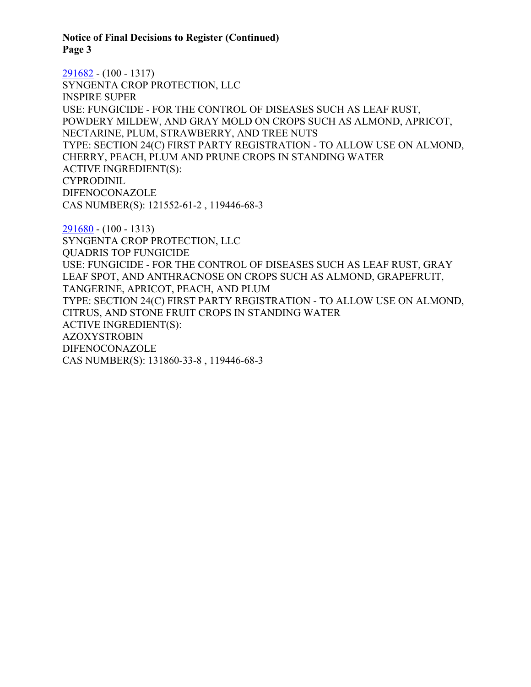**Notice of Final Decisions to Register (Continued) Page 3**

[291682](https://www.cdpr.ca.gov/docs/registration/nod/public_reports/291682.pdf) - (100 - 1317) SYNGENTA CROP PROTECTION, LLC INSPIRE SUPER USE: FUNGICIDE - FOR THE CONTROL OF DISEASES SUCH AS LEAF RUST, POWDERY MILDEW, AND GRAY MOLD ON CROPS SUCH AS ALMOND, APRICOT, NECTARINE, PLUM, STRAWBERRY, AND TREE NUTS TYPE: SECTION 24(C) FIRST PARTY REGISTRATION - TO ALLOW USE ON ALMOND, CHERRY, PEACH, PLUM AND PRUNE CROPS IN STANDING WATER ACTIVE INGREDIENT(S): CYPRODINIL DIFENOCONAZOLE CAS NUMBER(S): 121552-61-2 , 119446-68-3

[291680](https://www.cdpr.ca.gov/docs/registration/nod/public_reports/291680.pdf) - (100 - 1313) SYNGENTA CROP PROTECTION, LLC QUADRIS TOP FUNGICIDE USE: FUNGICIDE - FOR THE CONTROL OF DISEASES SUCH AS LEAF RUST, GRAY LEAF SPOT, AND ANTHRACNOSE ON CROPS SUCH AS ALMOND, GRAPEFRUIT, TANGERINE, APRICOT, PEACH, AND PLUM TYPE: SECTION 24(C) FIRST PARTY REGISTRATION - TO ALLOW USE ON ALMOND, CITRUS, AND STONE FRUIT CROPS IN STANDING WATER ACTIVE INGREDIENT(S): AZOXYSTROBIN DIFENOCONAZOLE CAS NUMBER(S): 131860-33-8 , 119446-68-3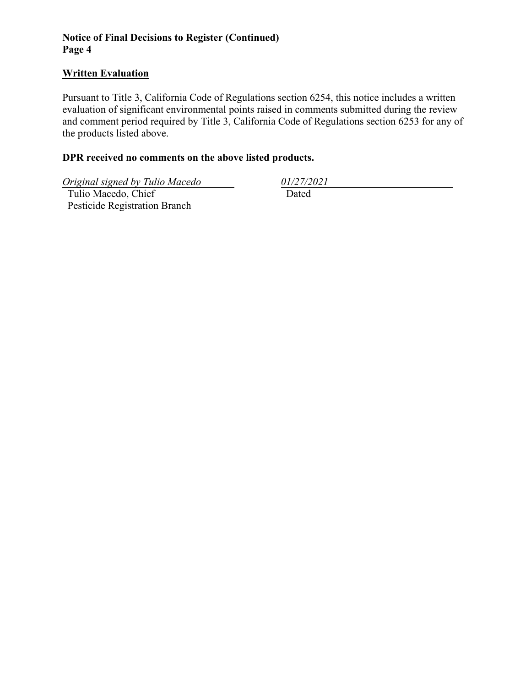## **Notice of Final Decisions to Register (Continued) Page 4**

### **Written Evaluation**

Pursuant to Title 3, California Code of Regulations section 6254, this notice includes a written evaluation of significant environmental points raised in comments submitted during the review and comment period required by Title 3, California Code of Regulations section 6253 for any of the products listed above.

### **DPR received no comments on the above listed products.**

*Original signed by Tulio Macedo 01/27/2021*

 Tulio Macedo, Chief Pesticide Registration Branch

Dated